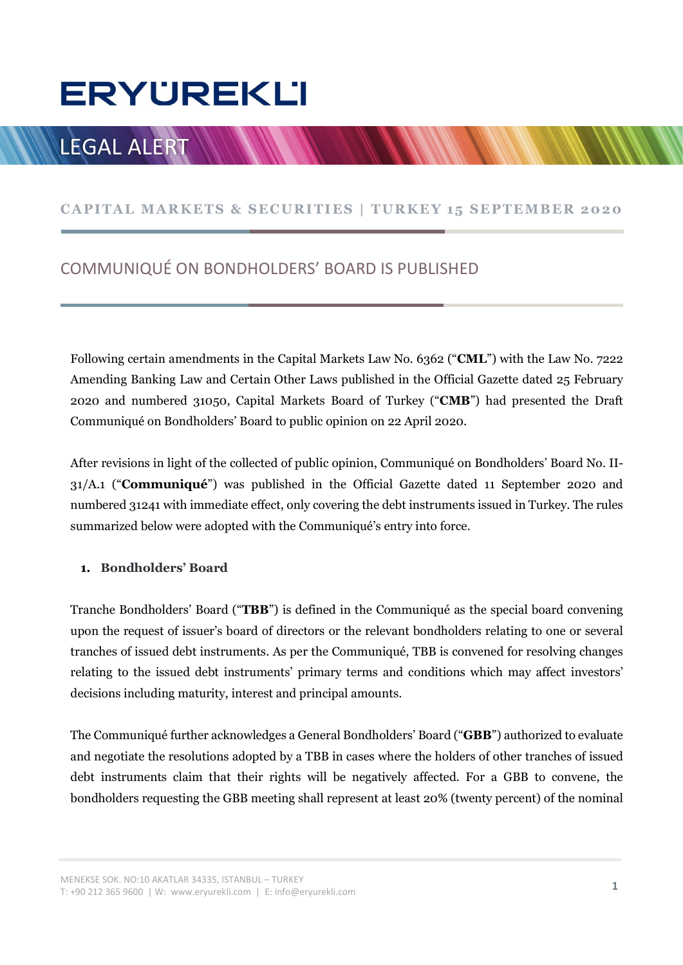# **ERYUREKLI** ERYUREKLI<br>LEGAL ALERT WWWWWWWWWWWWWWWWWWWWWW<br>CAPITAL MARKETS & SECURITIES | TURKEY 15 SEPTEMBER 2020<br>COMMUNIQUÉ ON BONDHOLDERS' BOARD IS PUBLISHED

# LEGAL ALERT

# COMMUNIQUÉ ON BONDHOLDERS' BOARD IS PUBLISHED

Following certain amendments in the Capital Markets Law No. 6362 ("CML") with the Law No. 7222 Amending Banking Law and Certain Other Laws published in the Official Gazette dated 25 February 2020 and numbered 31050, Capital Markets Board of Turkey ("CMB") had presented the Draft Communiqué on Bondholders' Board to public opinion on 22 April 2020.

After revisions in light of the collected of public opinion, Communiqué on Bondholders' Board No. II-31/A.1 ("Communiqué") was published in the Official Gazette dated 11 September 2020 and numbered 31241 with immediate effect, only covering the debt instruments issued in Turkey. The rules summarized below were adopted with the Communiqué's entry into force.

### 1. Bondholders' Board

Tranche Bondholders' Board ("TBB") is defined in the Communiqué as the special board convening upon the request of issuer's board of directors or the relevant bondholders relating to one or several tranches of issued debt instruments. As per the Communiqué, TBB is convened for resolving changes relating to the issued debt instruments' primary terms and conditions which may affect investors' decisions including maturity, interest and principal amounts.

The Communiqué further acknowledges a General Bondholders' Board ("GBB") authorized to evaluate and negotiate the resolutions adopted by a TBB in cases where the holders of other tranches of issued debt instruments claim that their rights will be negatively affected. For a GBB to convene, the bondholders requesting the GBB meeting shall represent at least 20% (twenty percent) of the nominal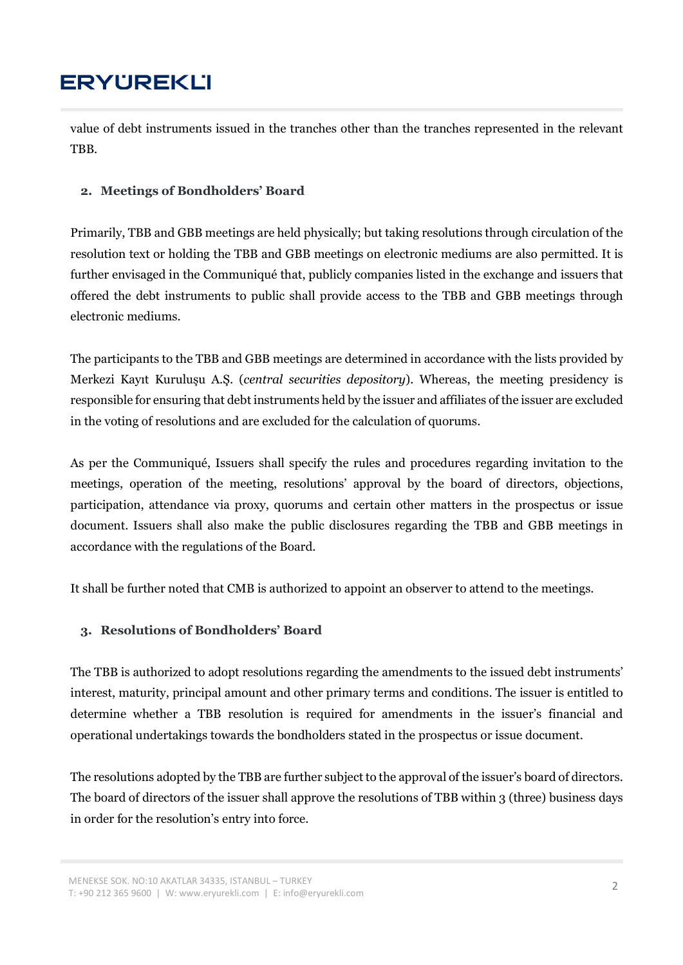value of debt instruments issued in the tranches other than the tranches represented in the relevant TBB.

## 2. Meetings of Bondholders' Board

Primarily, TBB and GBB meetings are held physically; but taking resolutions through circulation of the resolution text or holding the TBB and GBB meetings on electronic mediums are also permitted. It is further envisaged in the Communiqué that, publicly companies listed in the exchange and issuers that offered the debt instruments to public shall provide access to the TBB and GBB meetings through electronic mediums.

The participants to the TBB and GBB meetings are determined in accordance with the lists provided by Merkezi Kayıt Kuruluşu A.Ş. (central securities depository). Whereas, the meeting presidency is responsible for ensuring that debt instruments held by the issuer and affiliates of the issuer are excluded in the voting of resolutions and are excluded for the calculation of quorums.

As per the Communiqué, Issuers shall specify the rules and procedures regarding invitation to the meetings, operation of the meeting, resolutions' approval by the board of directors, objections, participation, attendance via proxy, quorums and certain other matters in the prospectus or issue document. Issuers shall also make the public disclosures regarding the TBB and GBB meetings in accordance with the regulations of the Board.

It shall be further noted that CMB is authorized to appoint an observer to attend to the meetings.

## 3. Resolutions of Bondholders' Board

The TBB is authorized to adopt resolutions regarding the amendments to the issued debt instruments' interest, maturity, principal amount and other primary terms and conditions. The issuer is entitled to determine whether a TBB resolution is required for amendments in the issuer's financial and operational undertakings towards the bondholders stated in the prospectus or issue document.

The resolutions adopted by the TBB are further subject to the approval of the issuer's board of directors. The board of directors of the issuer shall approve the resolutions of TBB within 3 (three) business days in order for the resolution's entry into force.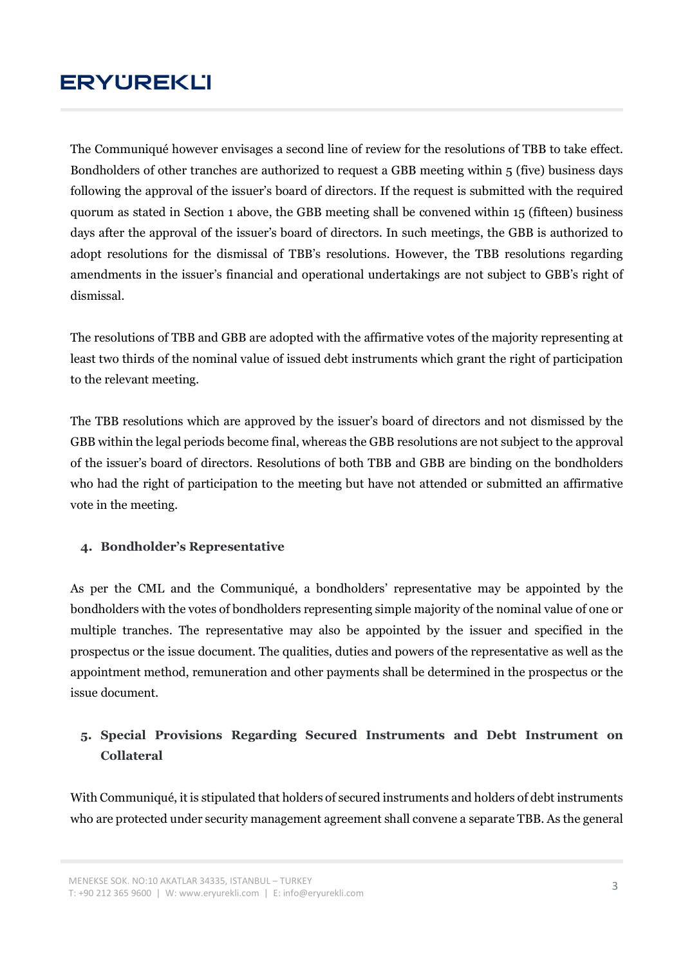The Communiqué however envisages a second line of review for the resolutions of TBB to take effect. Bondholders of other tranches are authorized to request a GBB meeting within 5 (five) business days following the approval of the issuer's board of directors. If the request is submitted with the required quorum as stated in Section 1 above, the GBB meeting shall be convened within 15 (fifteen) business days after the approval of the issuer's board of directors. In such meetings, the GBB is authorized to adopt resolutions for the dismissal of TBB's resolutions. However, the TBB resolutions regarding amendments in the issuer's financial and operational undertakings are not subject to GBB's right of dismissal.

The resolutions of TBB and GBB are adopted with the affirmative votes of the majority representing at least two thirds of the nominal value of issued debt instruments which grant the right of participation to the relevant meeting.

The TBB resolutions which are approved by the issuer's board of directors and not dismissed by the GBB within the legal periods become final, whereas the GBB resolutions are not subject to the approval of the issuer's board of directors. Resolutions of both TBB and GBB are binding on the bondholders who had the right of participation to the meeting but have not attended or submitted an affirmative vote in the meeting.

### 4. Bondholder's Representative

As per the CML and the Communiqué, a bondholders' representative may be appointed by the bondholders with the votes of bondholders representing simple majority of the nominal value of one or multiple tranches. The representative may also be appointed by the issuer and specified in the prospectus or the issue document. The qualities, duties and powers of the representative as well as the appointment method, remuneration and other payments shall be determined in the prospectus or the issue document.

# 5. Special Provisions Regarding Secured Instruments and Debt Instrument on Collateral

With Communiqué, it is stipulated that holders of secured instruments and holders of debt instruments who are protected under security management agreement shall convene a separate TBB. As the general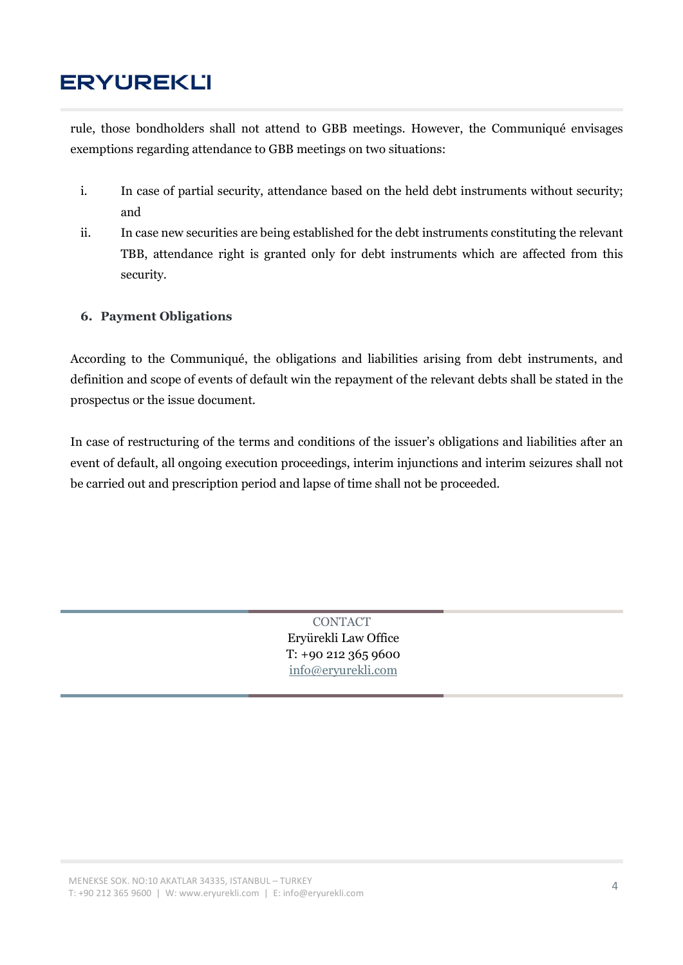rule, those bondholders shall not attend to GBB meetings. However, the Communiqué envisages exemptions regarding attendance to GBB meetings on two situations:

- i. In case of partial security, attendance based on the held debt instruments without security; and
- ii. In case new securities are being established for the debt instruments constituting the relevant TBB, attendance right is granted only for debt instruments which are affected from this security.

### 6. Payment Obligations

According to the Communiqué, the obligations and liabilities arising from debt instruments, and definition and scope of events of default win the repayment of the relevant debts shall be stated in the prospectus or the issue document.

In case of restructuring of the terms and conditions of the issuer's obligations and liabilities after an event of default, all ongoing execution proceedings, interim injunctions and interim seizures shall not be carried out and prescription period and lapse of time shall not be proceeded.

> **CONTACT** Eryürekli Law Office T: +90 212 365 9600 info@eryurekli.com